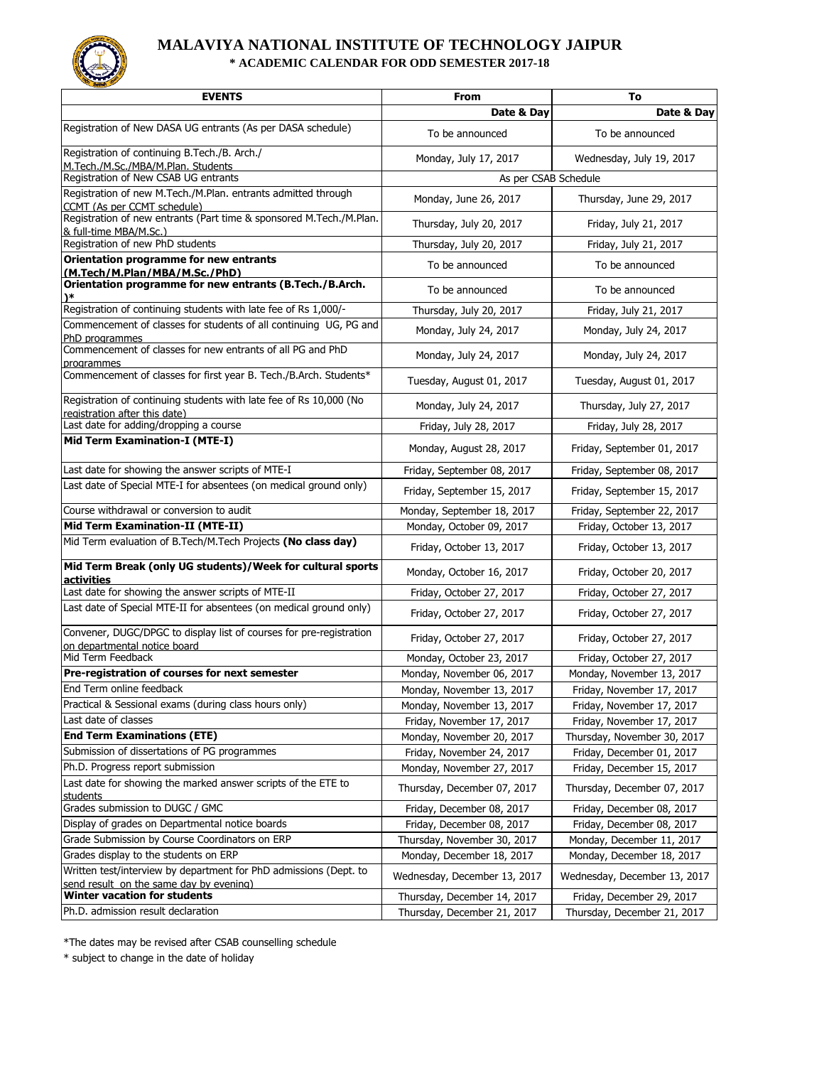

## **MALAVIYA NATIONAL INSTITUTE OF TECHNOLOGY JAIPUR \* ACADEMIC CALENDAR FOR ODD SEMESTER 2017-18**

| <b>EVENTS</b>                                                                                                | From                         | To                           |
|--------------------------------------------------------------------------------------------------------------|------------------------------|------------------------------|
|                                                                                                              | Date & Dav                   | Date & Day                   |
| Registration of New DASA UG entrants (As per DASA schedule)                                                  | To be announced              | To be announced              |
| Registration of continuing B.Tech./B. Arch./<br>M.Tech./M.Sc./MBA/M.Plan. Students                           | Monday, July 17, 2017        | Wednesday, July 19, 2017     |
| Registration of New CSAB UG entrants                                                                         | As per CSAB Schedule         |                              |
| Registration of new M.Tech./M.Plan. entrants admitted through<br>CCMT (As per CCMT schedule)                 | Monday, June 26, 2017        | Thursday, June 29, 2017      |
| Registration of new entrants (Part time & sponsored M.Tech./M.Plan.<br>& full-time MBA/M.Sc.)                | Thursday, July 20, 2017      | Friday, July 21, 2017        |
| Registration of new PhD students                                                                             | Thursday, July 20, 2017      | Friday, July 21, 2017        |
| Orientation programme for new entrants                                                                       | To be announced              | To be announced              |
| (M.Tech/M.Plan/MBA/M.Sc./PhD)<br>Orientation programme for new entrants (B.Tech./B.Arch.                     |                              |                              |
| )∗                                                                                                           | To be announced              | To be announced              |
| Registration of continuing students with late fee of Rs 1,000/-                                              | Thursday, July 20, 2017      | Friday, July 21, 2017        |
| Commencement of classes for students of all continuing UG, PG and<br>PhD programmes                          | Monday, July 24, 2017        | Monday, July 24, 2017        |
| Commencement of classes for new entrants of all PG and PhD<br>programmes                                     | Monday, July 24, 2017        | Monday, July 24, 2017        |
| Commencement of classes for first year B. Tech./B.Arch. Students*                                            | Tuesday, August 01, 2017     | Tuesday, August 01, 2017     |
| Registration of continuing students with late fee of Rs 10,000 (No<br>registration after this date)          | Monday, July 24, 2017        | Thursday, July 27, 2017      |
| Last date for adding/dropping a course                                                                       | Friday, July 28, 2017        | Friday, July 28, 2017        |
| Mid Term Examination-I (MTE-I)                                                                               | Monday, August 28, 2017      | Friday, September 01, 2017   |
| Last date for showing the answer scripts of MTE-I                                                            | Friday, September 08, 2017   | Friday, September 08, 2017   |
| Last date of Special MTE-I for absentees (on medical ground only)                                            | Friday, September 15, 2017   | Friday, September 15, 2017   |
| Course withdrawal or conversion to audit                                                                     | Monday, September 18, 2017   | Friday, September 22, 2017   |
| Mid Term Examination-II (MTE-II)                                                                             | Monday, October 09, 2017     | Friday, October 13, 2017     |
| Mid Term evaluation of B.Tech/M.Tech Projects (No class day)                                                 | Friday, October 13, 2017     | Friday, October 13, 2017     |
| Mid Term Break (only UG students)/Week for cultural sports<br>activities                                     | Monday, October 16, 2017     | Friday, October 20, 2017     |
| Last date for showing the answer scripts of MTE-II                                                           | Friday, October 27, 2017     | Friday, October 27, 2017     |
| Last date of Special MTE-II for absentees (on medical ground only)                                           | Friday, October 27, 2017     | Friday, October 27, 2017     |
| Convener, DUGC/DPGC to display list of courses for pre-registration<br>on departmental notice board          | Friday, October 27, 2017     | Friday, October 27, 2017     |
| Mid Term Feedback                                                                                            | Monday, October 23, 2017     | Friday, October 27, 2017     |
| Pre-registration of courses for next semester                                                                | Monday, November 06, 2017    | Monday, November 13, 2017    |
| End Term online feedback                                                                                     | Monday, November 13, 2017    | Friday, November 17, 2017    |
| Practical & Sessional exams (during class hours only)                                                        | Monday, November 13, 2017    | Friday, November 17, 2017    |
| Last date of classes                                                                                         | Friday, November 17, 2017    | Friday, November 17, 2017    |
| <b>End Term Examinations (ETE)</b>                                                                           | Monday, November 20, 2017    | Thursday, November 30, 2017  |
| Submission of dissertations of PG programmes                                                                 | Friday, November 24, 2017    | Friday, December 01, 2017    |
| Ph.D. Progress report submission                                                                             | Monday, November 27, 2017    | Friday, December 15, 2017    |
| Last date for showing the marked answer scripts of the ETE to<br>students                                    | Thursday, December 07, 2017  | Thursday, December 07, 2017  |
| Grades submission to DUGC / GMC                                                                              | Friday, December 08, 2017    | Friday, December 08, 2017    |
| Display of grades on Departmental notice boards                                                              | Friday, December 08, 2017    | Friday, December 08, 2017    |
| Grade Submission by Course Coordinators on ERP                                                               | Thursday, November 30, 2017  | Monday, December 11, 2017    |
| Grades display to the students on ERP                                                                        | Monday, December 18, 2017    | Monday, December 18, 2017    |
| Written test/interview by department for PhD admissions (Dept. to<br>send result on the same day by evening) | Wednesday, December 13, 2017 | Wednesday, December 13, 2017 |
| Winter vacation for students                                                                                 | Thursday, December 14, 2017  | Friday, December 29, 2017    |
| Ph.D. admission result declaration                                                                           | Thursday, December 21, 2017  | Thursday, December 21, 2017  |

\*The dates may be revised after CSAB counselling schedule

\* subject to change in the date of holiday